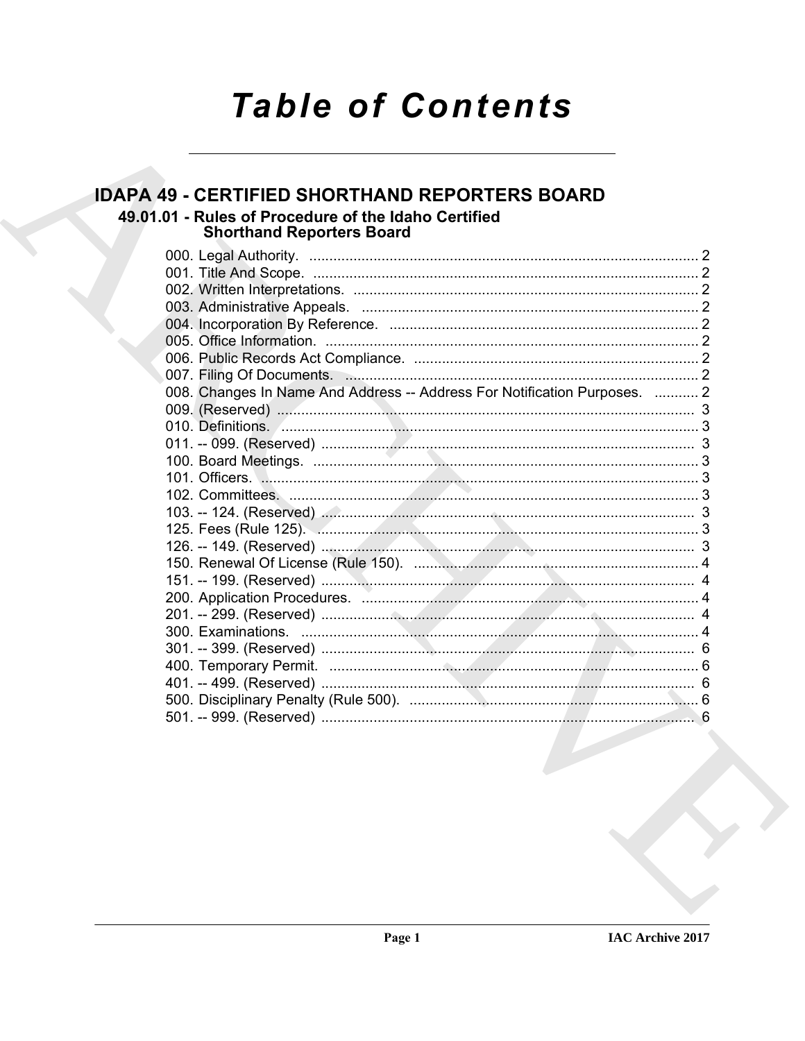# **Table of Contents**

### **IDAPA 49 - CERTIFIED SHORTHAND REPORTERS BOARD**

49.01.01 - Rules of Procedure of the Idaho Certified **Shorthand Reporters Board** 

| 008. Changes In Name And Address -- Address For Notification Purposes.  2 |  |
|---------------------------------------------------------------------------|--|
|                                                                           |  |
|                                                                           |  |
|                                                                           |  |
|                                                                           |  |
|                                                                           |  |
|                                                                           |  |
|                                                                           |  |
|                                                                           |  |
|                                                                           |  |
|                                                                           |  |
|                                                                           |  |
|                                                                           |  |
|                                                                           |  |
|                                                                           |  |
|                                                                           |  |
|                                                                           |  |
|                                                                           |  |
|                                                                           |  |
|                                                                           |  |
|                                                                           |  |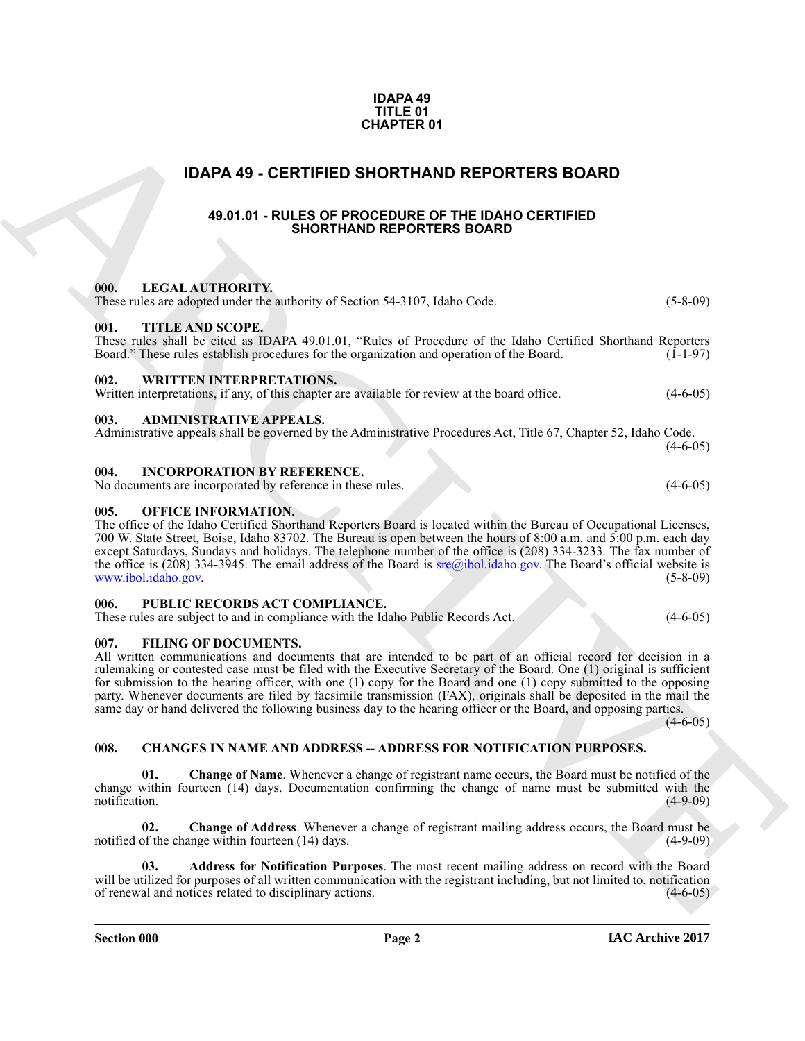#### **IDAPA 49 TITLE 01 CHAPTER 01**

#### <span id="page-1-0"></span>**IDAPA 49 - CERTIFIED SHORTHAND REPORTERS BOARD**

#### **49.01.01 - RULES OF PROCEDURE OF THE IDAHO CERTIFIED SHORTHAND REPORTERS BOARD**

#### <span id="page-1-4"></span><span id="page-1-3"></span><span id="page-1-2"></span><span id="page-1-1"></span>**000. LEGAL AUTHORITY.**

**CHAPTER 01**<br> **CHAPTER D SHORTHAND REPORTERS BOARD**<br> **CAPTER D SHORTHAND REPORTERS BOARD**<br> **CAPTER CHAPTER D SHORTHAND REPORTERS BOARD**<br> **CAPTER CHAPTER CHAPTER CHAPTER CHAPTER CHAPTER (CHAPTER CHAPTER)**<br> **CAPTER CHAPTER** These rules are adopted under the authority of Section 54-3107, Idaho Code. (5-8-09) **001. TITLE AND SCOPE.** These rules shall be cited as IDAPA 49.01.01, "Rules of Procedure of the Idaho Certified Shorthand Reporters Board." These rules establish procedures for the organization and operation of the Board. (1-1-97) Board." These rules establish procedures for the organization and operation of the Board. **002. WRITTEN INTERPRETATIONS.** Written interpretations, if any, of this chapter are available for review at the board office.  $(4-6-05)$ **003. ADMINISTRATIVE APPEALS.** Administrative appeals shall be governed by the Administrative Procedures Act, Title 67, Chapter 52, Idaho Code.  $(4-6-05)$ **004. INCORPORATION BY REFERENCE.** No documents are incorporated by reference in these rules. (4-6-05) **005. OFFICE INFORMATION.** The office of the Idaho Certified Shorthand Reporters Board is located within the Bureau of Occupational Licenses,

<span id="page-1-7"></span><span id="page-1-6"></span><span id="page-1-5"></span>700 W. State Street, Boise, Idaho 83702. The Bureau is open between the hours of 8:00 a.m. and 5:00 p.m. each day except Saturdays, Sundays and holidays. The telephone number of the office is (208) 334-3233. The fax number of the office is (208) 334-3945. The email address of the Board is  $\frac{\text{area}}{\text{ideal}}$  idaho.gov. The Board's official website is www.ibol.idaho.gov. (5-8-09) www.ibol.idaho.gov.

#### <span id="page-1-8"></span>**006. PUBLIC RECORDS ACT COMPLIANCE.**

These rules are subject to and in compliance with the Idaho Public Records Act. (4-6-05)

#### <span id="page-1-9"></span>**007. FILING OF DOCUMENTS.**

All written communications and documents that are intended to be part of an official record for decision in a rulemaking or contested case must be filed with the Executive Secretary of the Board. One (1) original is sufficient for submission to the hearing officer, with one (1) copy for the Board and one (1) copy submitted to the opposing party. Whenever documents are filed by facsimile transmission (FAX), originals shall be deposited in the mail the same day or hand delivered the following business day to the hearing officer or the Board, and opposing parties.

 $(4 - 6 - 05)$ 

#### <span id="page-1-10"></span>**008. CHANGES IN NAME AND ADDRESS -- ADDRESS FOR NOTIFICATION PURPOSES.**

**01. Change of Name**. Whenever a change of registrant name occurs, the Board must be notified of the change within fourteen (14) days. Documentation confirming the change of name must be submitted with the notification. (4-9-09) notification. (4-9-09)

**02.** Change of Address. Whenever a change of registrant mailing address occurs, the Board must be of the change within fourteen (14) days. notified of the change within fourteen  $(14)$  days.

**03. Address for Notification Purposes**. The most recent mailing address on record with the Board will be utilized for purposes of all written communication with the registrant including, but not limited to, notification of renewal and notices related to disciplinary actions. (4-6-05) of renewal and notices related to disciplinary actions. (4-6-05)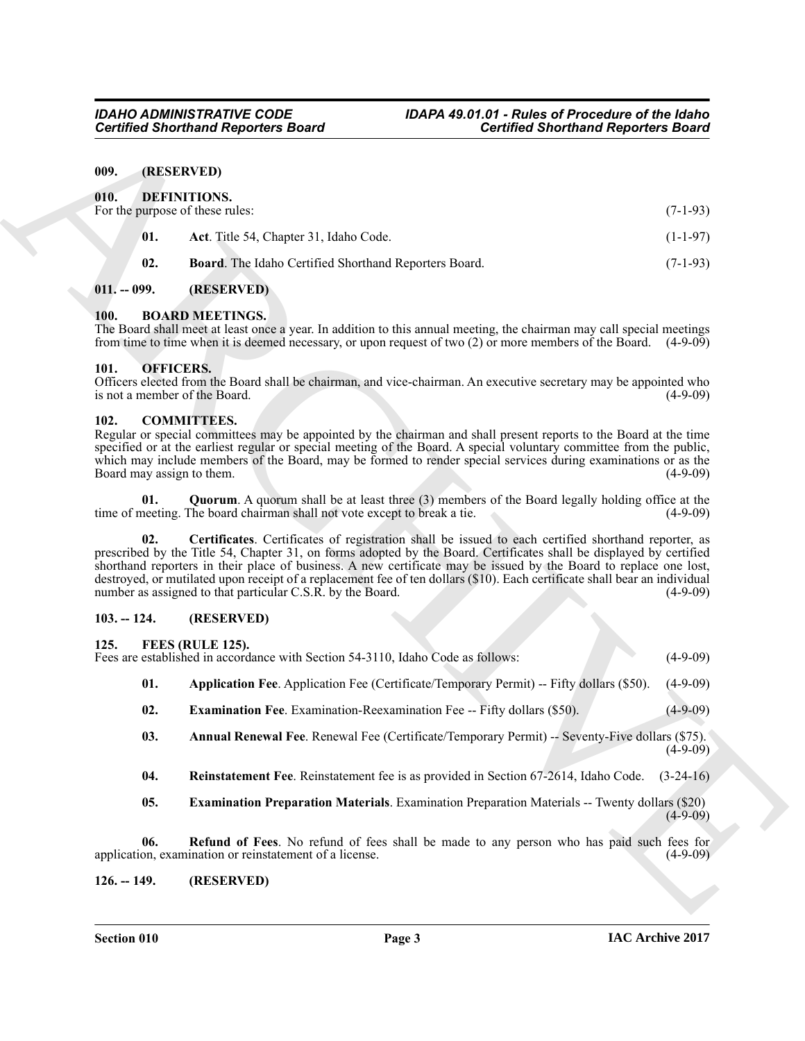#### <span id="page-2-14"></span><span id="page-2-13"></span><span id="page-2-1"></span><span id="page-2-0"></span>**009. (RESERVED)**

|                                                                                                                                                                                                                                                                                                                                                                                                                                             | <b>Certified Shorthand Reporters Board</b>                                                                                                                                                                                                                                                                                                                                        | <b>Certified Shorthand Reporters Board</b> |             |  |  |  |
|---------------------------------------------------------------------------------------------------------------------------------------------------------------------------------------------------------------------------------------------------------------------------------------------------------------------------------------------------------------------------------------------------------------------------------------------|-----------------------------------------------------------------------------------------------------------------------------------------------------------------------------------------------------------------------------------------------------------------------------------------------------------------------------------------------------------------------------------|--------------------------------------------|-------------|--|--|--|
| 009.                                                                                                                                                                                                                                                                                                                                                                                                                                        | (RESERVED)                                                                                                                                                                                                                                                                                                                                                                        |                                            |             |  |  |  |
| 010.<br>For the purpose of these rules:                                                                                                                                                                                                                                                                                                                                                                                                     | DEFINITIONS.                                                                                                                                                                                                                                                                                                                                                                      |                                            | $(7-1-93)$  |  |  |  |
| 01.                                                                                                                                                                                                                                                                                                                                                                                                                                         | Act. Title 54, Chapter 31, Idaho Code.                                                                                                                                                                                                                                                                                                                                            |                                            | $(1-1-97)$  |  |  |  |
| 02.                                                                                                                                                                                                                                                                                                                                                                                                                                         | Board. The Idaho Certified Shorthand Reporters Board.                                                                                                                                                                                                                                                                                                                             |                                            | $(7-1-93)$  |  |  |  |
| $011. - 099.$                                                                                                                                                                                                                                                                                                                                                                                                                               | (RESERVED)                                                                                                                                                                                                                                                                                                                                                                        |                                            |             |  |  |  |
| 100.                                                                                                                                                                                                                                                                                                                                                                                                                                        | <b>BOARD MEETINGS.</b><br>The Board shall meet at least once a year. In addition to this annual meeting, the chairman may call special meetings<br>from time to time when it is deemed necessary, or upon request of two $(2)$ or more members of the Board. $(4-9-09)$                                                                                                           |                                            |             |  |  |  |
| 101.<br>is not a member of the Board.                                                                                                                                                                                                                                                                                                                                                                                                       | <b>OFFICERS.</b><br>Officers elected from the Board shall be chairman, and vice-chairman. An executive secretary may be appointed who                                                                                                                                                                                                                                             |                                            | $(4-9-09)$  |  |  |  |
| 102.<br>Board may assign to them.                                                                                                                                                                                                                                                                                                                                                                                                           | <b>COMMITTEES.</b><br>Regular or special committees may be appointed by the chairman and shall present reports to the Board at the time<br>specified or at the earliest regular or special meeting of the Board. A special voluntary committee from the public,<br>which may include members of the Board, may be formed to render special services during examinations or as the |                                            | $(4-9-09)$  |  |  |  |
| 01.                                                                                                                                                                                                                                                                                                                                                                                                                                         | <b>Quorum.</b> A quorum shall be at least three (3) members of the Board legally holding office at the<br>time of meeting. The board chairman shall not vote except to break a tie.                                                                                                                                                                                               |                                            | $(4-9-09)$  |  |  |  |
| 02.<br>prescribed by the Title 54, Chapter 31, on forms adopted by the Board. Certificates shall be displayed by certified<br>shorthand reporters in their place of business. A new certificate may be issued by the Board to replace one lost,<br>destroyed, or mutilated upon receipt of a replacement fee of ten dollars (\$10). Each certificate shall bear an individual<br>number as assigned to that particular C.S.R. by the Board. | Certificates. Certificates of registration shall be issued to each certified shorthand reporter, as                                                                                                                                                                                                                                                                               |                                            | $(4-9-09)$  |  |  |  |
| $103. - 124.$                                                                                                                                                                                                                                                                                                                                                                                                                               | (RESERVED)                                                                                                                                                                                                                                                                                                                                                                        |                                            |             |  |  |  |
| 125.                                                                                                                                                                                                                                                                                                                                                                                                                                        | FEES (RULE 125).<br>Fees are established in accordance with Section 54-3110, Idaho Code as follows:                                                                                                                                                                                                                                                                               |                                            | $(4-9-09)$  |  |  |  |
| 01.                                                                                                                                                                                                                                                                                                                                                                                                                                         | Application Fee. Application Fee (Certificate/Temporary Permit) -- Fifty dollars (\$50).                                                                                                                                                                                                                                                                                          |                                            | $(4-9-09)$  |  |  |  |
| 02.                                                                                                                                                                                                                                                                                                                                                                                                                                         | <b>Examination Fee.</b> Examination-Reexamination Fee -- Fifty dollars (\$50).                                                                                                                                                                                                                                                                                                    |                                            | $(4-9-09)$  |  |  |  |
| 03.                                                                                                                                                                                                                                                                                                                                                                                                                                         | Annual Renewal Fee. Renewal Fee (Certificate/Temporary Permit) -- Seventy-Five dollars (\$75).                                                                                                                                                                                                                                                                                    |                                            | $(4-9-09)$  |  |  |  |
| 04.                                                                                                                                                                                                                                                                                                                                                                                                                                         | Reinstatement Fee. Reinstatement fee is as provided in Section 67-2614, Idaho Code.                                                                                                                                                                                                                                                                                               |                                            | $(3-24-16)$ |  |  |  |
| 05.                                                                                                                                                                                                                                                                                                                                                                                                                                         | <b>Examination Preparation Materials.</b> Examination Preparation Materials -- Twenty dollars (\$20)                                                                                                                                                                                                                                                                              |                                            | $(4-9-09)$  |  |  |  |
| 06.                                                                                                                                                                                                                                                                                                                                                                                                                                         | Refund of Fees. No refund of fees shall be made to any person who has paid such fees for<br>application, examination or reinstatement of a license.                                                                                                                                                                                                                               |                                            | $(4-9-09)$  |  |  |  |
|                                                                                                                                                                                                                                                                                                                                                                                                                                             |                                                                                                                                                                                                                                                                                                                                                                                   |                                            |             |  |  |  |

#### <span id="page-2-15"></span><span id="page-2-2"></span>**011. -- 099. (RESERVED)**

#### <span id="page-2-9"></span><span id="page-2-3"></span>**100. BOARD MEETINGS.**

#### <span id="page-2-23"></span><span id="page-2-4"></span>**101. OFFICERS.**

#### <span id="page-2-12"></span><span id="page-2-10"></span><span id="page-2-5"></span>**102. COMMITTEES.**

#### <span id="page-2-11"></span><span id="page-2-6"></span>**103. -- 124. (RESERVED)**

#### <span id="page-2-16"></span><span id="page-2-7"></span>**125. FEES (RULE 125).**

- <span id="page-2-18"></span>**01. Application Fee**. Application Fee (Certificate/Temporary Permit) -- Fifty dollars (\$50). (4-9-09)
- <span id="page-2-19"></span>**02. Examination Fee**. Examination-Reexamination Fee -- Fifty dollars (\$50). (4-9-09)
- <span id="page-2-17"></span>**03.** Annual Renewal Fee. Renewal Fee (Certificate/Temporary Permit) -- Seventy-Five dollars (\$75).  $(4-9-09)$
- <span id="page-2-22"></span>**04. Reinstatement Fee**. Reinstatement fee is as provided in Section 67-2614, Idaho Code. (3-24-16)
- <span id="page-2-21"></span><span id="page-2-20"></span><span id="page-2-8"></span>**05. Examination Preparation Materials**. Examination Preparation Materials -- Twenty dollars (\$20)  $(4-9-09)$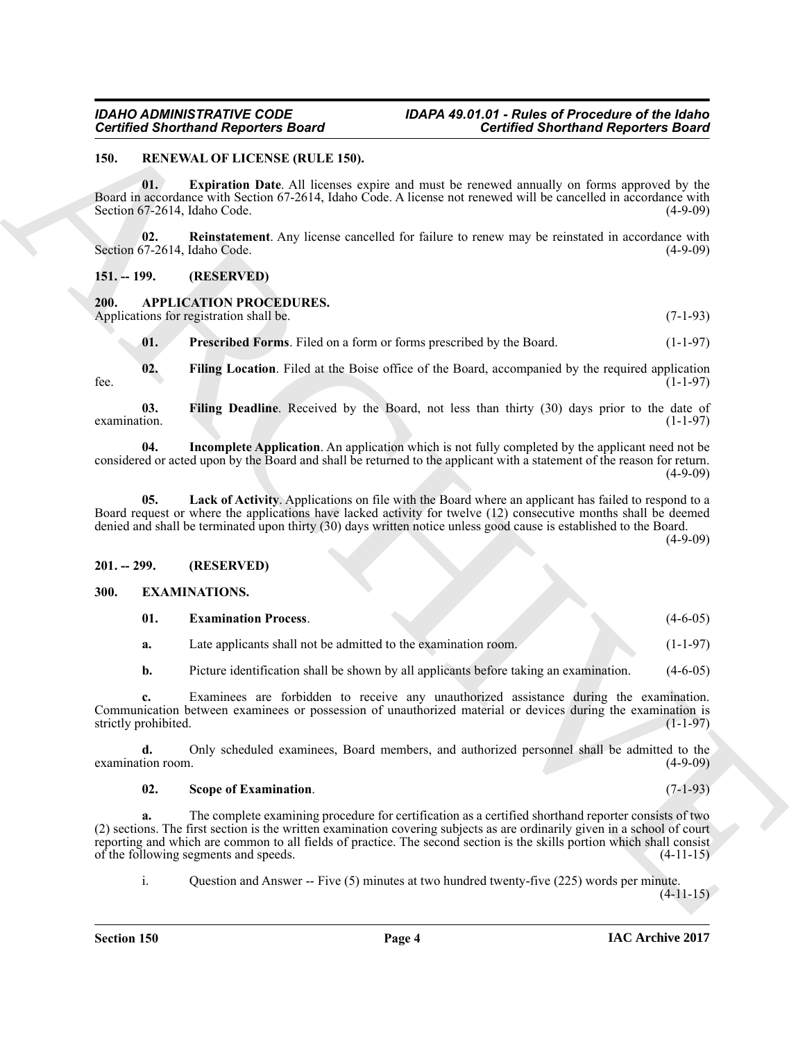#### <span id="page-3-14"></span><span id="page-3-0"></span>**150. RENEWAL OF LICENSE (RULE 150).**

<span id="page-3-15"></span>**01. Expiration Date**. All licenses expire and must be renewed annually on forms approved by the Board in accordance with Section 67-2614, Idaho Code. A license not renewed will be cancelled in accordance with Section 67-2614, Idaho Code. (4-9-09)

<span id="page-3-16"></span>**02.** Reinstatement. Any license cancelled for failure to renew may be reinstated in accordance with 57-2614. Idaho Code. (4-9-09) Section 67-2614, Idaho Code.

<span id="page-3-1"></span>**151. -- 199. (RESERVED)**

### <span id="page-3-5"></span><span id="page-3-2"></span>**200. APPLICATION PROCEDURES.**

Applications for registration shall be. (7-1-93)

<span id="page-3-10"></span><span id="page-3-7"></span><span id="page-3-6"></span>**01.** Prescribed Forms. Filed on a form or forms prescribed by the Board. (1-1-97)

**02.** Filing Location. Filed at the Boise office of the Board, accompanied by the required application (1-1-97) fee.  $(1-1-97)$ 

**03.** Filing Deadline. Received by the Board, not less than thirty (30) days prior to the date of examination. (1-1-97)  $\alpha$  examination. (1-1-97)

<span id="page-3-8"></span>**04. Incomplete Application**. An application which is not fully completed by the applicant need not be considered or acted upon by the Board and shall be returned to the applicant with a statement of the reason for return.  $(4-9-09)$ 

<span id="page-3-9"></span>**05. Lack of Activity**. Applications on file with the Board where an applicant has failed to respond to a Board request or where the applications have lacked activity for twelve (12) consecutive months shall be deemed denied and shall be terminated upon thirty (30) days written notice unless good cause is established to the Board.

 $(4-9-09)$ 

#### <span id="page-3-3"></span>**201. -- 299. (RESERVED)**

#### <span id="page-3-4"></span>**300. EXAMINATIONS.**

<span id="page-3-12"></span><span id="page-3-11"></span>

| 01. | <b>Examination Process.</b> |  |  |  | $(4 - 6 - 05)$ |
|-----|-----------------------------|--|--|--|----------------|
|     |                             |  |  |  | $-$            |

- **a.** Late applicants shall not be admitted to the examination room. (1-1-97)
- **b.** Picture identification shall be shown by all applicants before taking an examination. (4-6-05)

**c.** Examinees are forbidden to receive any unauthorized assistance during the examination. Communication between examinees or possession of unauthorized material or devices during the examination is strictly prohibited.

**d.** Only scheduled examinees, Board members, and authorized personnel shall be admitted to the (4-9-09) (4-9-09) examination room.

#### <span id="page-3-13"></span>**02. Scope of Examination**. (7-1-93)

Govinced Shorthand Region for Board<br>
19. MASEVALUS LEADS (NELLES)<br>
19. MASEVALUS LEADS (NELLES)<br>
19. MASEVALUS LEADS (NELLES)<br>
19. MASEVALUS LEADS (NELLES)<br>
19. MASE 20. MASE (NELLES)<br>
19. MASE 20. MASE 20. MASE 20. MASE **a.** The complete examining procedure for certification as a certified shorthand reporter consists of two (2) sections. The first section is the written examination covering subjects as are ordinarily given in a school of court reporting and which are common to all fields of practice. The second section is the skills portion which shall consist of the following segments and speeds. (4-11-15) of the following segments and speeds.

i. Question and Answer -- Five (5) minutes at two hundred twenty-five (225) words per minute.

 $(4-11-15)$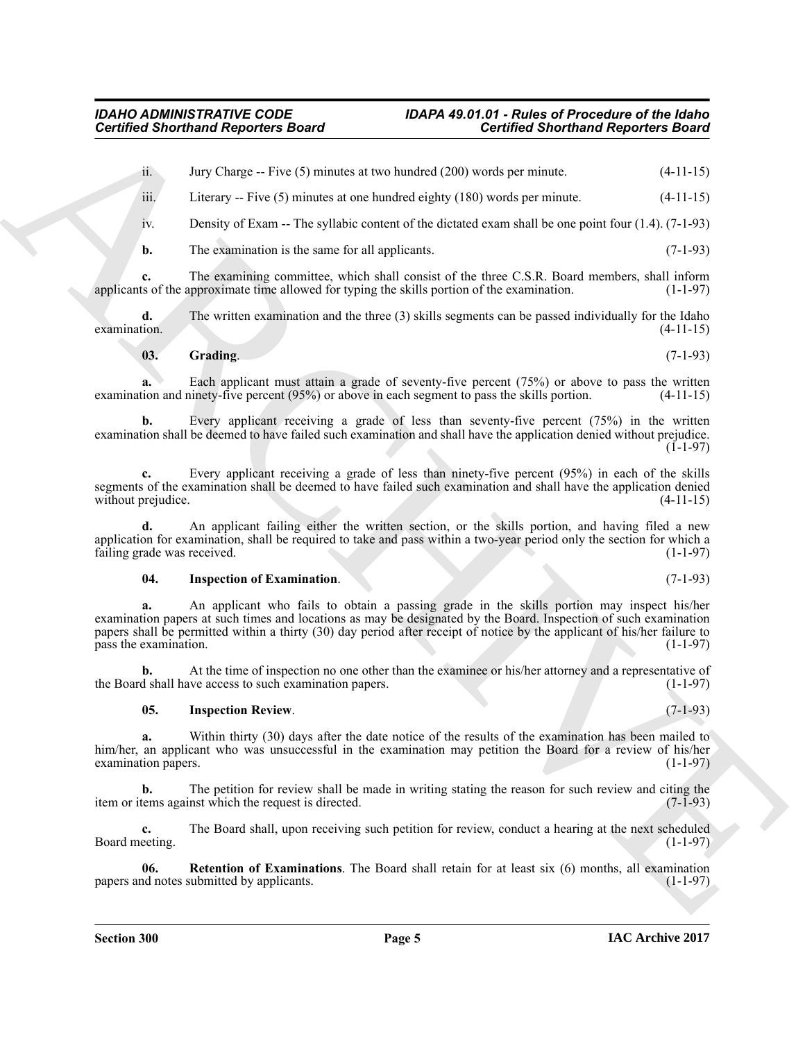ii. Jury Charge -- Five  $(5)$  minutes at two hundred  $(200)$  words per minute.  $(4-11-15)$ 

iii. Literary -- Five  $(5)$  minutes at one hundred eighty  $(180)$  words per minute.  $(4-11-15)$ 

iv. Density of Exam -- The syllabic content of the dictated exam shall be one point four (1.4). (7-1-93)

**b.** The examination is the same for all applicants. (7-1-93)

**c.** The examining committee, which shall consist of the three C.S.R. Board members, shall inform ts of the approximate time allowed for typing the skills portion of the examination. (1-1-97) applicants of the approximate time allowed for typing the skills portion of the examination.

**d.** The written examination and the three (3) skills segments can be passed individually for the Idaho examination.  $(4-11-15)$  $\alpha$  examination.  $(4-11-15)$ 

#### <span id="page-4-0"></span>**03. Grading**. (7-1-93)

**a.** Each applicant must attain a grade of seventy-five percent (75%) or above to pass the written tion and ninety-five percent (95%) or above in each segment to pass the skills portion. (4-11-15) examination and ninety-five percent  $(95%)$  or above in each segment to pass the skills portion.

**b.** Every applicant receiving a grade of less than seventy-five percent (75%) in the written examination shall be deemed to have failed such examination and shall have the application denied without prejudice.  $(1-1-97)$ 

**c.** Every applicant receiving a grade of less than ninety-five percent (95%) in each of the skills segments of the examination shall be deemed to have failed such examination and shall have the application denied without prejudice. (4-11-15) without prejudice.

**d.** An applicant failing either the written section, or the skills portion, and having filed a new application for examination, shall be required to take and pass within a two-year period only the section for which a failing grade was received.  $(1-1-97)$ failing grade was received.

#### <span id="page-4-1"></span>**04. Inspection of Examination**. (7-1-93)

**Contributed Shorthand Region for Board<br>
Lace - The Charmes at not handed a 200 method Shorthand Region for Board<br>
Lacence - Every 5 Summan at one handed a 200 method control at the control for C-1.1-13<br>
Lacence - Every 5 a.** An applicant who fails to obtain a passing grade in the skills portion may inspect his/her examination papers at such times and locations as may be designated by the Board. Inspection of such examination papers shall be permitted within a thirty (30) day period after receipt of notice by the applicant of his/her failure to pass the examination.

**b.** At the time of inspection no one other than the examinee or his/her attorney and a representative of d shall have access to such examination papers. (1-1-97) the Board shall have access to such examination papers.

#### <span id="page-4-2"></span>**05. Inspection Review**. (7-1-93)

**a.** Within thirty (30) days after the date notice of the results of the examination has been mailed to him/her, an applicant who was unsuccessful in the examination may petition the Board for a review of his/her examination papers. (1-1-97) examination papers.

**b.** The petition for review shall be made in writing stating the reason for such review and citing the tems against which the request is directed. (7-1-93) item or items against which the request is directed.

**c.** The Board shall, upon receiving such petition for review, conduct a hearing at the next scheduled eeting. (1-1-97) Board meeting.

<span id="page-4-3"></span>**06.** Retention of Examinations. The Board shall retain for at least six (6) months, all examination of notes submitted by applicants. (1-1-97) papers and notes submitted by applicants.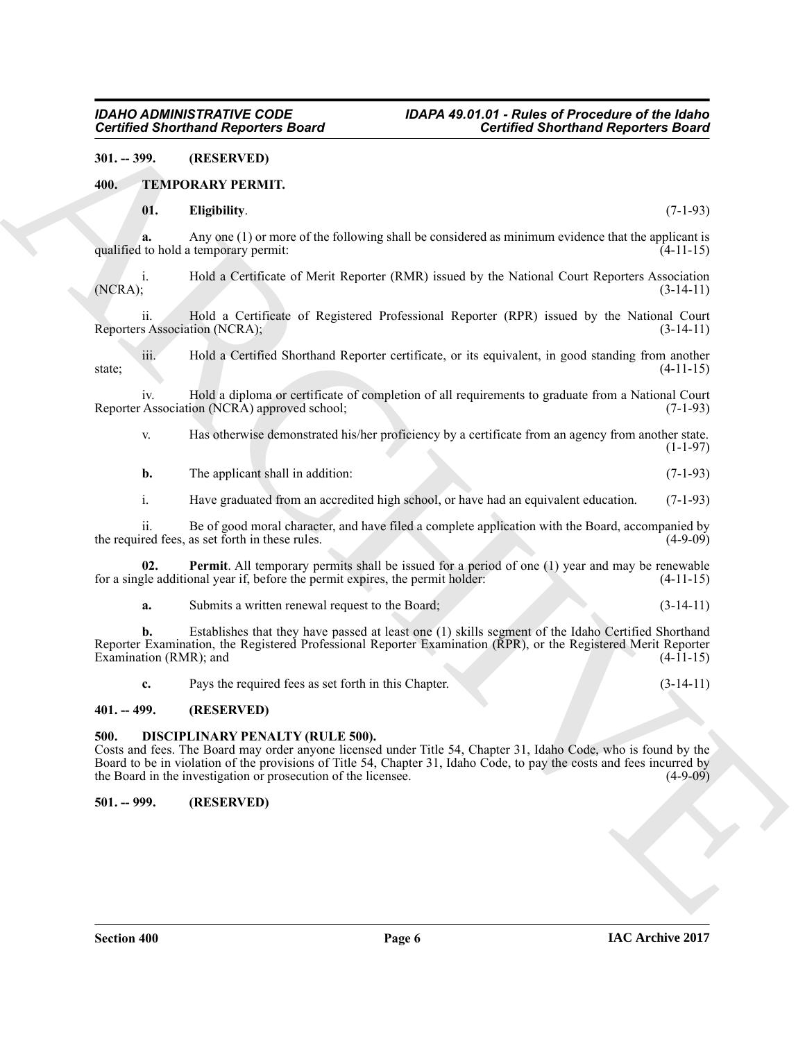#### <span id="page-5-0"></span>**301. -- 399. (RESERVED)**

#### <span id="page-5-1"></span>**400. TEMPORARY PERMIT.**

#### <span id="page-5-7"></span><span id="page-5-6"></span>**01. Eligibility**. (7-1-93)

**a.** Any one (1) or more of the following shall be considered as minimum evidence that the applicant is to hold a temporary permit: (4-11-15) qualified to hold a temporary permit:

i. Hold a Certificate of Merit Reporter (RMR) issued by the National Court Reporters Association (NCRA); (3-14-11) (NCRA); (3-14-11)

ii. Hold a Certificate of Registered Professional Reporter (RPR) issued by the National Court s Association (NCRA); (3-14-11) Reporters Association (NCRA);

iii. Hold a Certified Shorthand Reporter certificate, or its equivalent, in good standing from another  $\text{state}$ ; (4-11-15)

iv. Hold a diploma or certificate of completion of all requirements to graduate from a National Court Reporter Association (NCRA) approved school;

v. Has otherwise demonstrated his/her proficiency by a certificate from an agency from another state.  $(1-1-97)$ 

**b.** The applicant shall in addition: (7-1-93)

i. Have graduated from an accredited high school, or have had an equivalent education. (7-1-93)

ii. Be of good moral character, and have filed a complete application with the Board, accompanied by the required fees, as set forth in these rules.

**02. Permit**. All temporary permits shall be issued for a period of one (1) year and may be renewable gle additional year if, before the permit expires, the permit holder: (4-11-15) for a single additional year if, before the permit expires, the permit holder:

<span id="page-5-8"></span>**a.** Submits a written renewal request to the Board; (3-14-11)

Government Counterior Charges and Counterior Charges and Counterior Charges and Counterior Charges and Counterior Charges and Counterior Charges and Counterior Charges and Charges and Charges and Charges and Charges and C **b.** Establishes that they have passed at least one (1) skills segment of the Idaho Certified Shorthand Reporter Examination, the Registered Professional Reporter Examination (RPR), or the Registered Merit Reporter Examination (RMR); and  $(4-11-15)$ 

<span id="page-5-5"></span>**c.** Pays the required fees as set forth in this Chapter. (3-14-11)

#### <span id="page-5-2"></span>**401. -- 499. (RESERVED)**

#### <span id="page-5-3"></span>**500. DISCIPLINARY PENALTY (RULE 500).**

Costs and fees. The Board may order anyone licensed under Title 54, Chapter 31, Idaho Code, who is found by the Board to be in violation of the provisions of Title 54, Chapter 31, Idaho Code, to pay the costs and fees incurred by the Board in the investigation or prosecution of the licensee. (4-9-09)

#### <span id="page-5-4"></span>**501. -- 999. (RESERVED)**